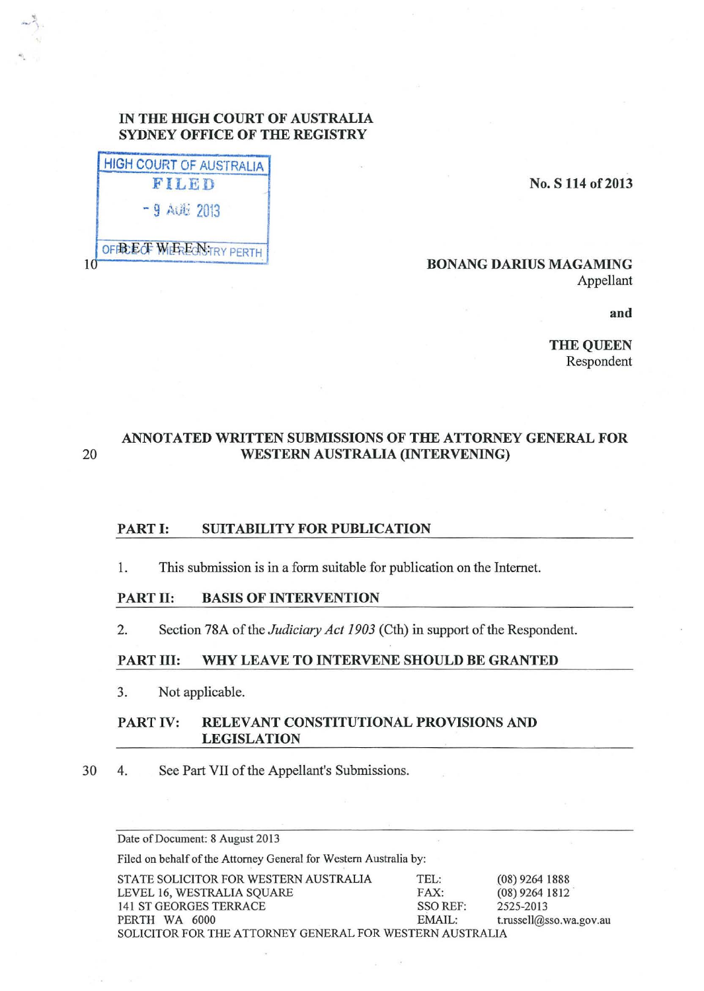# **IN THE lllGH COURT OF AUSTRALIA SYDNEY OFFICE OF THE REGISTRY**

| -9 AGH 2013 |
|-------------|

'!

## **No. S 114 of2013**

## **BONANG DARIUS MAGAMING**  Appellant

**and** 

**THE QUEEN**  Respondent

# **ANNOTATED WRITTEN SUBMISSIONS OF THE ATTORNEY GENERAL FOR**  20 **WESTERN AUSTRALIA (INTERVENING)**

# **PART I: SUITABILITY FOR PUBLICATION**

1. This submission is in a form suitable for publication on the Internet.

## **PART II: BASIS OF INTERVENTION**

2. Section 78A of the *Judiciary Act 1903* (Cth) in support of the Respondent.

# **PART** III: **WHY LEAVE TO INTERVENE SHOULD BE GRANTED**

3. Not applicable.

## **PART IV: RELEVANT CONSTITUTIONAL PROVISIONS AND LEGISLATION**

30 4. See Part VII of the Appellant's Submissions.

Date of Document: 8 August 2013

Filed on behalf of the Attorney General for Western Australia by:

| STATE SOLICITOR FOR WESTERN AUSTRALIA                    | TEL:     | $(08)$ 9264 1888        |
|----------------------------------------------------------|----------|-------------------------|
| LEVEL 16, WESTRALIA SQUARE                               | FAX:     | $(08)$ 9264 1812        |
| 141 ST GEORGES TERRACE                                   | SSO REF: | 2525-2013               |
| PERTH WA 6000                                            | EMAIL:   | t.russell@sso.wa.gov.au |
| SOLICITOR FOR THE ATTORNEY GENERAL FOR WESTERN AUSTRALIA |          |                         |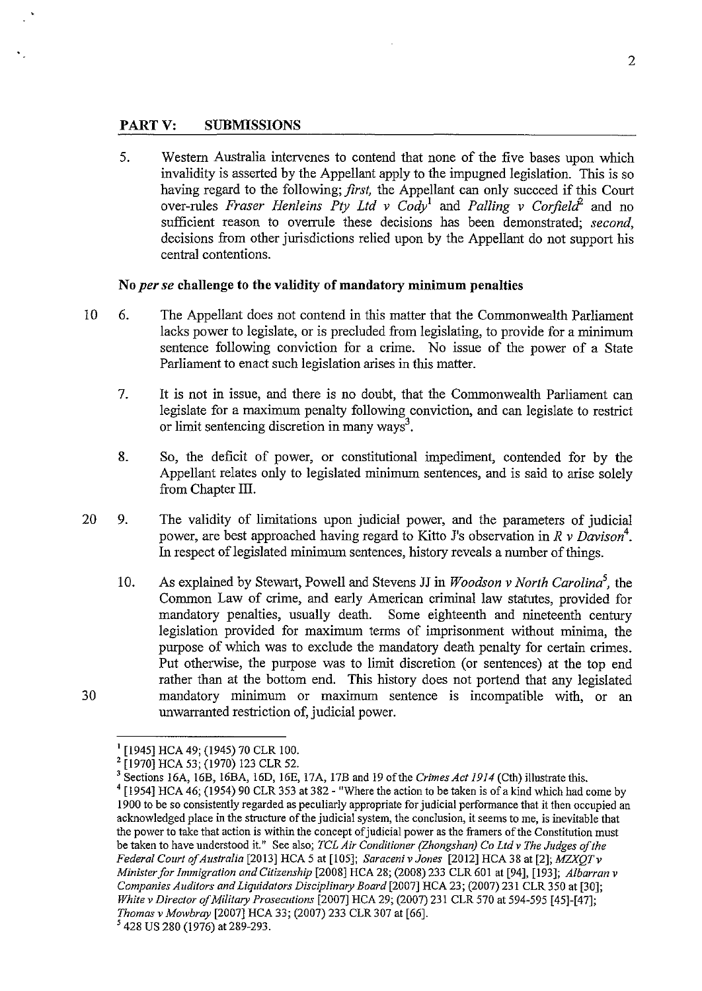#### **PARTY: SUBMISSIONS**

5. Western Australia intervenes to contend that none of the five bases upon which invalidity is asserted by the Appellant apply to the impugned legislation. This is so having regard to the following; *first,* the Appellant can only succeed if this Court over-rules *Fraser Henleins Pty Ltd v Cody*<sup>1</sup> and *Palling v Corfield*<sup>2</sup> and no sufficient reason to overrule these decisions has been demonstrated; *second,*  decisions from other jurisdictions relied upon by the Appellant do not support his central contentions.

#### **No** *per se* **challenge to the validity of mandatory minimum penalties**

- 10 6. The Appellant does not contend in this matter that the Commonwealth Parliament lacks power to legislate, or is precluded from legislating, to provide for a minimum sentence following conviction for a crime. No issue of the power of a State Parliament to enact such legislation arises in this matter.
	- 7. It is not in issue, and there is no doubt, that the Commonwealth Parliament can legislate for a maximum penalty following conviction, and can legislate to restrict or limit sentencing discretion in many ways<sup>3</sup>.
	- 8. So, the deficit of power, or constitutional impediment, contended for by the Appellant relates only to legislated minimum sentences, and is said to arise solely from Chapter III.
- 20 9. The validity of limitations upon judicial power, and the parameters of judicial power, are best approached having regard to Kitto J's observation in *R v Davison4 •*  In respect of legislated minimum sentences, history reveals a number of things.
	- 10. As explained by Stewart, Powell and Stevens JJ in *Woodson v North Carolina*<sup>5</sup>, the Common Law of crime, and early American criminal law statutes, provided for mandatory penalties, usually death. Some eighteenth and nineteenth century legislation provided for maximum terms of imprisonment without minima, the purpose of which was to exclude the mandatory death penalty for certain crimes. Put otherwise, the purpose was to limit discretion (or sentences) at the top end rather than at the bottom end. This history does not portend that any legislated mandatory minimum or maximum sentence is incompatible with, or an unwarranted restriction of, judicial power.

<sup>&</sup>lt;sup>1</sup> [1945] HCA 49; (1945) 70 CLR 100.

<sup>&</sup>lt;sup>2</sup> [1970] HCA 53; (1970) 123 CLR 52.

<sup>&</sup>lt;sup>3</sup> Sections 16A, 16B, 16BA, 16D, 16E, 17A, 17B and 19 of the *Crimes Act 1914* (Cth) illustrate this.

<sup>&</sup>lt;sup>4</sup> [1954] HCA 46; (1954) 90 CLR 353 at 382 - "Where the action to be taken is of a kind which had come by 1900 to be so consistently regarded as peculiarly appropriate for judicial performance that it then occupied an acknowledged place in the structure of the judicial system, the conclusion, it seems to me, is inevitable that the power to take that action is within the concept of judicial power as the framers of the Constitution must be taken to have understood it." See also; *TCL Air Conditioner (Zhongshan) Co Ltd v The Judges of the Federal Court of Australia* [2013] HCA 5 at [105]; *SaracenivJones* [2012] HCA 38 at [2]; *MZXQTv Minister for Immigration and Citizenship* [2008] HCA 28; (2008) 233 CLR601 at [94], [193]; *Albarran v Companies Auditors and Liquidators Disciplinary Board* [2007] HCA 23; (2007) 231 CLR 350 at [30]; *White v Director of Military Prosecutions* [2007] HCA 29; (2007) 231 CLR 570 at 594-595 [45]-[47]; *Thomas v Mowbray* [2007] HCA 33; (2007) 233 CLR 307 at [66]. *<sup>5</sup>*428 US 280 (1976) at 289-293.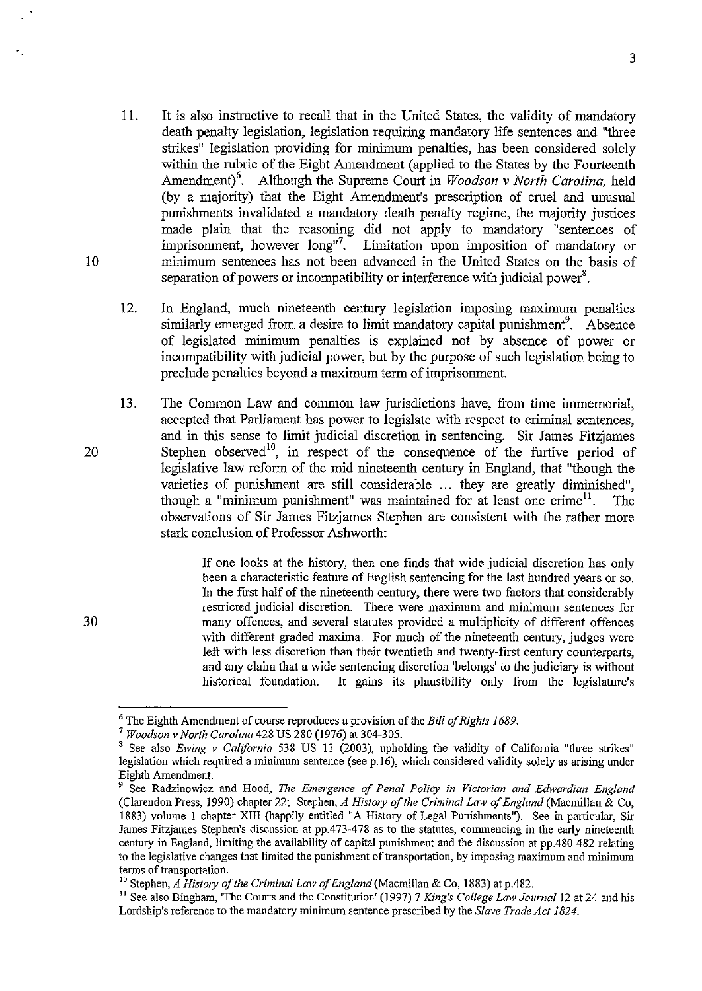- 11. It is also instructive to recall that in the United States, the validity of mandatory death penalty legislation, legislation requiring mandatory life sentences and "three strikes" legislation providing for minimum penalties, has been considered solely within the rubric of the Eight Amendment (applied to the States by the Fourteenth Amendment)<sup>6</sup>. Although the Supreme Court in *Woodson v North Carolina*, held (by a majority) that the Eight Amendment's prescription of cruel and unusual punishments invalidated a mandatory death penalty regime, the majority justices made plain that the reasoning did not apply to mandatory "sentences of imprisonment, however long"<sup>7</sup>. Limitation upon imposition of mandatory or minimum sentences has not been advanced in the United States on the basis of separation of powers or incompatibility or interference with judicial power<sup>8</sup>.
- 12. In England, much nineteenth century legislation imposing maximum penalties similarly emerged from a desire to limit mandatory capital punishment<sup>9</sup>. Absence of legislated minimum penalties is explained not by absence of power or incompatibility with judicial power, but by the purpose of such legislation being to preclude penalties beyond a maximum term of imprisonment.
- 13. The Common Law and common law jurisdictions have, from time immemorial, accepted that Parliament has power to legislate with respect to criminal sentences, and in this sense to limit judicial discretion in sentencing. Sir James Fitzjames Stephen observed<sup>10</sup>, in respect of the consequence of the furtive period of legislative law reform of the mid nineteenth century in England, that "though the varieties of punishment are still considerable ... they are greatly diminished", though a "minimum punishment" was maintained for at least one crime<sup>11</sup>. The though a "minimum punishment" was maintained for at least one crime<sup>11</sup>. observations of Sir James Fitzjames Stephen are consistent with the rather more stark conclusion of Professor Ashworth:

If one looks at the history, then one finds that wide judicial discretion has only been a characteristic feature of English sentencing for the last hundred years or so. In the first half of the nineteenth century, there were two factors that considerably restricted judicial discretion. There were maximum and minimum sentences for many offences, and several statutes provided a multiplicity of different offences with different graded maxima. For much of the nineteenth century, judges were left with less discretion than their twentieth and twenty-first century counterparts, and any claim that a wide sentencing discretion 'belongs' to the judiciary is without historical foundation. It gains its plausibility only from the legislature's

10

20

<sup>6</sup> The Eighth Amendment of course reproduces a provision of the *Bill of Rights 1689.* <sup>7</sup>*Woodson v North Carolina* 428 US 280 (1976) at 304-305.

<sup>8</sup> See also *Ewing v California* 538 US 11 (2003), upholding the validity of California "three strikes" legislation which required a minimum sentence (see p.l6), which considered validity solely as arising under Eighth Amendment.

<sup>9</sup> See Radzinowicz and Hood, *The Emergence of Penal Policy in Victorian and Edwardian England*  (Clarendon Press, 1990) chapter 22; Stephen, *A History of the Criminal Lmv of England* (Macmillan & Co, 1883) volume I chapter XIII (happily entitled "A History of Legal Punishments"). See in particular, Sir James Fitzjames Stephen's discussion at pp.473-478 as to the statutes, commencing in the early nineteenth century in England, limiting the availability of capital punishment and the discussion at pp.480-482 relating to the legislative changes that limited the punishment of transportation, by imposing maximum and minimum terms of transportation.

<sup>&</sup>lt;sup>10</sup> Stephen, *A History of the Criminal Law of England* (Macmillan & Co, 1883) at p.482.<br><sup>11</sup> See also Bingham, 'The Courts and the Constitution' (1997) 7 *King's College Law Journal* 12 at 24 and his Lordship's reference to the mandatory minimum sentence prescribed by the *Slave Trade Act 1824.*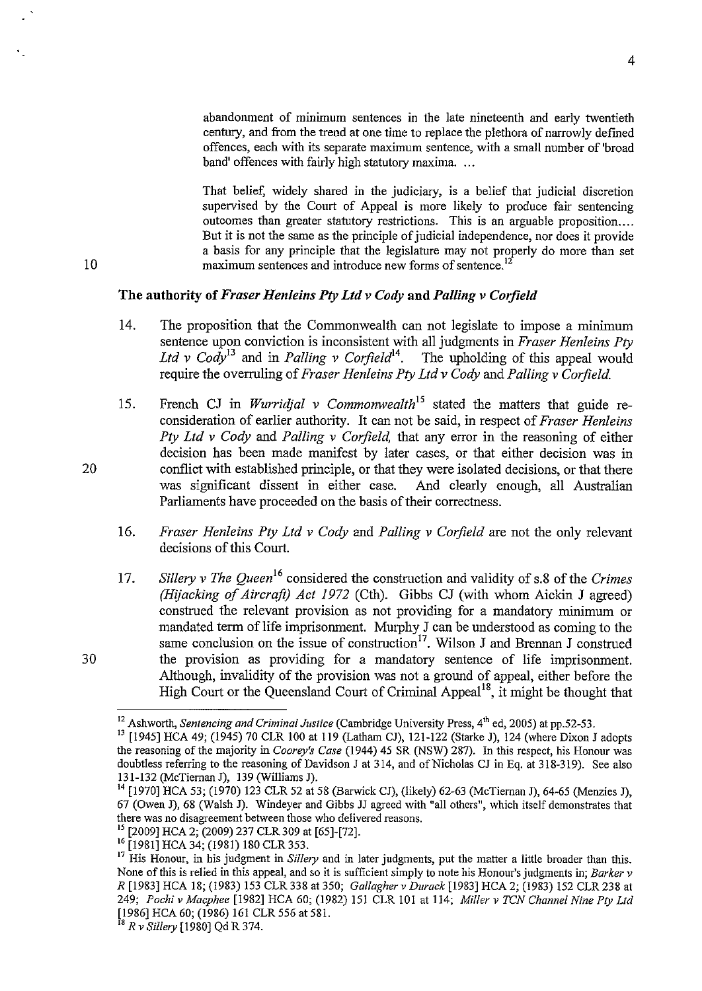abandonment of minimum sentences in the late nineteenth and early twentieth century, and from the trend at one time to replace the plethora of narrowly defined offences, each with its separate maximum sentence, with a small number of 'broad band' offences with fairly high statutory maxima. ...

That belief, widely shared in the judiciary, is a belief that judicial discretion supervised by the Court of Appeal is more likely to produce fair sentencing outcomes than greater statutory restrictions. This is an arguable proposition.... But it is not the same as the principle of judicial independence, nor does it provide a basis for any principle that the legislature may not properly do more than set maximum sentences and introduce new forms of sentence.<sup>1</sup>

## The authority of *Fraser Henleins Pty Ltd v Cody* aud *Palling v Cotjield*

- 14. The proposition that the Commonwealth can not legislate to impose a minimum sentence upon conviction is inconsistent with all judgments in *Fraser Henleins Pty*  Ltd v Cody<sup>13</sup> and in *Palling v Corfield*<sup>14</sup>. The upholding of this appeal would require the overruling of *Fraser Henle* ins *Pty Ltd v Cody* and *Palling v Corfield.*
- 15. French CJ in *Wurridjal v Commonwealth<sup>15</sup>*stated the matters that guide reconsideration of earlier authority. It can not be said, in respect of *Fraser Henleins Pty Ltd v Cody* and *Palling v Corfield,* that any error in the reasoning of either decision has been made manifest by later cases, or that either decision was in conflict with established principle, or that they were isolated decisions, or that there was significant dissent in either case. And clearly enough, all Australian Parliaments have proceeded on the basis of their correctness.
- 16. *Fraser Henleins Pty Ltd v Cody* and *Palling v Corfield* are not the only relevant decisions of this Court.
- 17. *Sillery v The Queen*<sup>16</sup> considered the construction and validity of s.8 of the *Crimes (Hijacking of Aircraft) Act 1972* (Cth). Gibbs CJ (with whom Aickin J agreed) construed the relevant provision as not providing for a mandatory minimum or mandated term of life imprisonment. Murphy J can be understood as coming to the same conclusion on the issue of construction<sup>17</sup>. Wilson J and Brennan J construed the provision as providing for a mandatory sentence of life imprisonment. Although, invalidity of the provision was not a ground of appeal, either before the High Court or the Queensland Court of Criminal Appeal<sup>18</sup>, it might be thought that

10

<sup>&</sup>lt;sup>12</sup> Ashworth, *Sentencing and Criminal Justice* (Cambridge University Press, 4<sup>th</sup> ed, 2005) at pp.52-53.<br><sup>13</sup> [1945] HCA 49; (1945) 70 CLR 100 at 119 (Latham CJ), 121-122 (Starke J), 124 (where Dixon J adopts the reasoning of the majority in *Coorey's Case* (1944) 45 SR (NSW) 287). In this respect, his Honour was doubtless referring to the reasoning of Davidson J at 314, and of Nicholas CJ in Eq. at 318-319). See also 131-132 (McTiernan J), 139 (Williams J).

<sup>[1970]</sup> HCA 53; (1970) 123 CLR 52 at 58 (Barwick CJ), (likely) 62-63 (McTiernan J), 64-65 (Menzies J), 67 (Owen J), 68 (Walsh J). Windeyer and Gibbs JJ agreed with "all others", which itself demonstrates that

<sup>&</sup>lt;sup>15</sup> [2009] HCA 2; (2009) 237 CLR 309 at [65]-[72].<br><sup>16</sup> [1981] HCA 34; (1981) 180 CLR 353.<br><sup>17</sup> His Honour, in his judgment in *Sillery* and in later judgments, put the matter a little broader than this. None of this is relied in this appeal, and so it is sufficient simply to note his Honour's judgments in; *Barker v R* [1983] HCA 18; (1983) 153 CLR 338 at 350; *Gallagher v Durack* [1983] HCA 2; (1983) 152 CLR 238 at 249; *Pochi v Macphee* [1982] HCA 60; (1982) 151 CLR 101 at 114; *Millerv TCN Channel Nine Pty Ltd*  [1986] HCA 60; (1986) 161 CLR 556 at 581. 18 *R v Sillery* [1980] Qd R 374.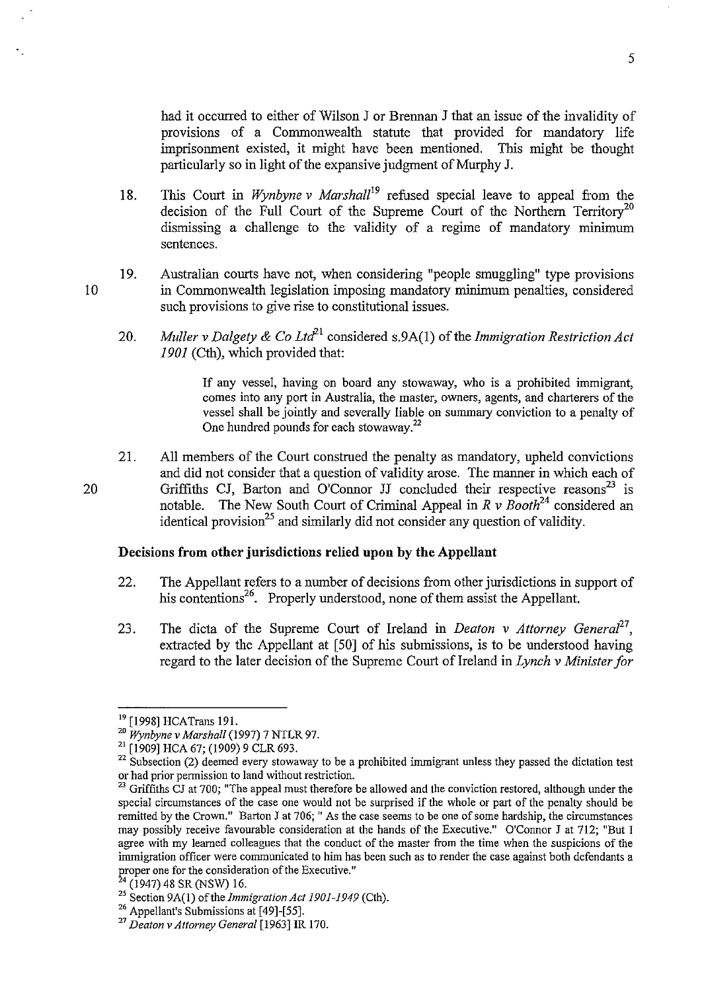had it occurred to either of Wilson J or Brennan J that an issue of the invalidity of provisions of a Commonwealth statute that provided for mandatory life imprisonment existed, it might have been mentioned. This might be thought particularly so in light of the expansive judgment of Murphy J.

- 18. This Court in *Wynbyne v Marshal/<sup>19</sup>*refused special leave to appeal from the decision of the Full Court of the Supreme Court of the Northern Territory<sup>20</sup> dismissing a challenge to the validity of a regime of mandatory minimum sentences.
- 19. Australian courts have not, when considering "people smuggling" type provisions in Commonwealth legislation imposing mandatory minimum penalties, considered such provisions to give rise to constitutional issues.
	- 20. *Muller v Dalgety & Co Ltd*<sup>21</sup> considered s.9A(1) of the *Immigration Restriction Act 1901* (Cth), which provided that:

If any vessel, having on board any stowaway, who is a prohibited immigrant, comes into any port in Australia, the master, owners, agents, and charterers of the vessel shall be jointly and severally liable on summary conviction to a penalty of One hundred pounds for each stowaway.<sup>22</sup>

21. All members of the Court construed the penalty as mandatory, upheld convictions and did not consider that a question of validity arose. The manner in which each of Griffiths CJ, Barton and O'Connor JJ concluded their respective reasons<sup>23</sup> is notable. The New South Court of Criminal Appeal in  $R \nu$  Booth<sup>24</sup> considered an identical provision<sup>25</sup> and similarly did not consider any question of validity.

## **Decisions from other jurisdictions relied upon by the Appellant**

- 22. The Appellant refers to a number of decisions from other jurisdictions in support of his contentions<sup>26</sup>. Properly understood, none of them assist the Appellant.
- 23. The dicta of the Supreme Court of Ireland in *Deaton v Attorney General*<sup>27</sup>, extracted by the Appellant at [50] of his submissions, is to be understood having regard to the later decision of the Supreme Court of Ireland in *Lynch v Minister for*

5

10

<sup>&</sup>lt;sup>19</sup> [1998] HCATrans 191.<br><sup>20</sup> *Wynbyne v Marshall* (1997) 7 NTLR 97.<br><sup>21</sup> [1909] HCA 67; (1909) 9 CLR 693.<br><sup>22</sup> Subsection (2) deemed every stowaway to be a prohibited immigrant unless they passed the dictation test or had prior permission to land without restriction.<br><sup>23</sup> Griffiths CJ at 700; "The appeal must therefore be allowed and the conviction restored, although under the

special circumstances of the case one would not be surprised if the whole or part of the penalty should be remitted by the Crown." Barton J at 706; "As the case seems to be one of some hardship, the circumstances may possibly receive favourable consideration at the hands of the Executive." O'Connor J at 712; "But I agree with my learned colleagues that the conduct of the master from the time when the suspicions of the immigration officer were communicated to him has been such as to render the case against both defendants a proper one for the consideration of the Executive."<br><sup>24</sup> (1947) 48 SR (NSW) 16.

<sup>25</sup> Section 9A(1) of the *Immigration Act 1901-1949* (Cth).<br><sup>26</sup> Appellant's Submissions at [49]-[55].<br><sup>27</sup> *Deaton v Attorney General* [1963] IR 170.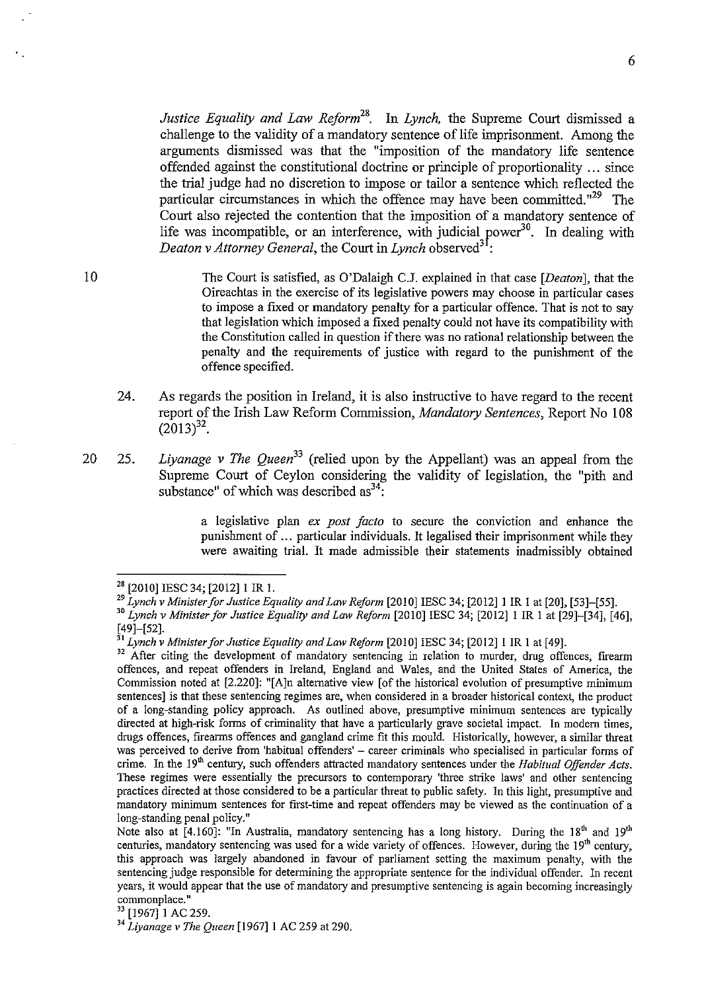*Justice Equality and Law Reform28.* In *Lynch,* the Supreme Court dismissed a challenge to the validity of a mandatory sentence of life imprisonment. Among the arguments dismissed was that the "imposition of the mandatory life sentence offended against the constitutional doctrine or principle of proportionality ... since the trial judge had no discretion to impose or tailor a sentence which reflected the particular circumstances in which the offence may have been committed."<sup>29</sup> The Court also rejected the contention that the imposition of a mandatory sentence of life was incompatible, or an interference, with judicial power<sup>30</sup>. In dealing with *Deaton v Attorney General, the Court in <i>Lynch* observed<sup>31</sup>:

The Court is satisfied, as O'Dalaigh C.J. explained in that case *[Deaton],* that the Oireachtas in the exercise of its legislative powers may choose in particular cases to impose a fixed or mandatory penalty for a particular offence. That is not to say that legislation which imposed a fixed penalty could not have its compatibility with the Constitution called in question if there was no rational relationship between the penalty and the requirements of justice with regard to the punishment of the offence specified.

- 24. As regards the position in Ireland, it is also instructive to have regard to the recent report of the Irish Law Reform Commission, *Mandatory Sentences,* Report No 108  $(2013)^{32}$ .
- 20 25. *Liyanage v The Queen*<sup>33</sup> (relied upon by the Appellant) was an appeal from the Supreme Court of Ceylon considering the validity of legislation, the "pith and substance" of which was described  $as^{34}$ .

a legislative plan *ex post facto* to secure the conviction and enhance the punishment of ... particular individuals. It legalised their imprisonment while they were awaiting trial. It made admissible their statements inadmissibly obtained

<sup>&</sup>lt;sup>28</sup> [2010] IESC 34; [2012] 1 IR 1.<br><sup>29</sup> Lynch v Minister for Justice Equality and Law Reform [2010] IESC 34; [2012] 1 IR 1 at [20], [53]–[55].

<sup>&</sup>lt;sup>30</sup> Lynch v Minister for Justice Equality and Law Reform <sup>[2010]</sup> IESC 34; [2012] 1 IR 1 at [29]-[34], [46], [49]-[52].<br> $^{51}$  Lynch v Minister for Justice Equality and Law Reform [2010] IESC 34; [2012] 1 IR 1 at [49].

<sup>&</sup>lt;sup>32</sup> After citing the development of mandatory sentencing in relation to murder, drug offences, firearm offences, and repeat offenders in Ireland, England and Wales, and the United States of America, the Commission noted at [2.220]: "[A]n alternative view [of the historical evolution of presumptive minimum sentences] is that these sentencing regimes are, when considered in a broader historical context, the product of a long-standing policy approach. As outlined above, presumptive minimum sentences are typically directed at high-risk forms of criminality that have a particularly grave societal impact. In modem times, drugs offences, firearms offences and gangland crime fit this mould. Historically, however, a similar threat was perceived to derive from 'habitual offenders' – career criminals who specialised in particular forms of crime. In the 19<sup>th</sup> century, such offenders attracted mandatory sentences under the *Habitual Offender Acts*. These regimes were essentially the precursors to contemporary 'three strike laws' and other sentencing practices directed at those considered to be a particular threat to public safety. In this ligbt, presumptive and mandatory minimum sentences for first-time and repeat offenders may be viewed as the continuation of a long-standing penal policy."

Note also at [4.160]: "In Australia, mandatory sentencing has a long history. During the 18<sup>th</sup> and 19<sup>th</sup> centuries, mandatory sentencing was used for a wide variety of offences. However, during the 19<sup>th</sup> century, this approach was largely abandoned in favour of parliament setting the maximum penalty, with the sentencing judge responsible for determining the appropriate sentence for the individual offender. In recent years, it would appear that the use of mandatory and presumptive sentencing is again becoming increasingly commonplace."<br><sup>33</sup> [1967] 1 AC 259.

<sup>33 [1967]1</sup> AC 259. 34 *Liyanage v The Queen* [1967]1 AC 259 at 290.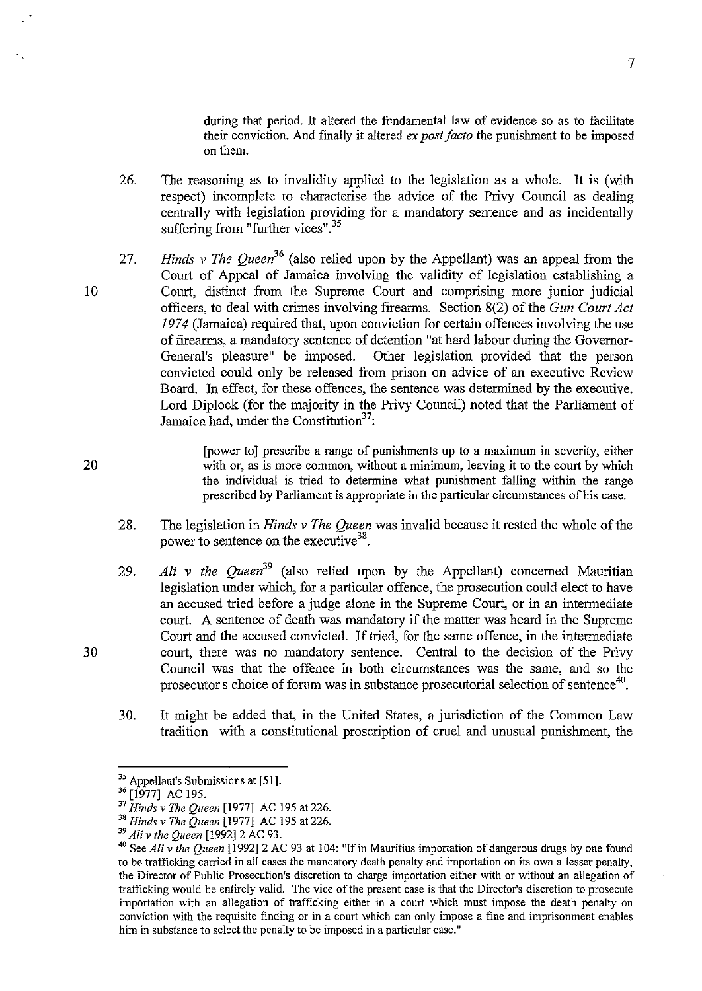during that period. It altered the fundamental law of evidence so as to facilitate their conviction. And finally it altered *ex post facto* the punishment to be imposed on them.

7

- 26. The reasoning as to invalidity applied to the legislation as a whole. It is (with respect) incomplete to characterise the advice of the Privy Council as dealing centrally with legislation providing for a mandatory sentence and as incidentally suffering from "further vices".<sup>35</sup>
- 27. *Hinds* v *The Queen<sup>36</sup>*(also relied upon by the Appellant) was an appeal from the Court of Appeal of Jamaica involving the validity of legislation establishing a Court, distinct from the Supreme Court and comprising more junior judicial officers, to deal with crimes involving firearms. Section 8(2) of the *Gun Court Act 1974* (Jamaica) required that, upon conviction for certain offences involving the use of firearms, a mandatory sentence of detention "at hard labour during the Governor-<br>General's pleasure" be imposed. Other legislation provided that the person Other legislation provided that the person convicted could only be released from prison on advice of an executive Review Board. In effect, for these offences, the sentence was determined by the executive. Lord Diplock (for the majority in the Privy Council) noted that the Parliament of Jamaica had, under the Constitution<sup>37</sup>:

[power to] prescribe a range of punishments up to a maximum in severity, either with or, as is more common, without a minimum, leaving it to the court by which the individual is tried to determine what punishment falling within the range prescribed by Parliament is appropriate in the particular circumstances of his case.

- 28. The legislation in *Hinds* v *The Queen* was invalid because it rested the whole of the power to sentence on the executive<sup>38</sup>.
- 29. *Ali v the Queen*<sup>39</sup> (also relied upon by the Appellant) concerned Mauritian legislation under which, for a particular offence, the prosecution could elect to have an accused tried before a judge alone in the Supreme Court, or in an intermediate court. A sentence of death was mandatory if the matter was heard in the Supreme Court and the accused convicted. If tried, for the same offence, in the intermediate court, there was no mandatory sentence. Central to the decision of the Privy Council was that the offence in both circumstances was the same, and so the prosecutor's choice of forum was in substance prosecutorial selection of sentence<sup>40</sup>.
- 30. It might be added that, in the United States, a jurisdiction of the Common Law tradition with a constitutional proscription of cruel and unusual punishment, the

30

10

<sup>&</sup>lt;sup>35</sup> Appellant's Submissions at [51].

 $^{36}$  [1977] AC 195.<br><sup>37</sup> Hinds v The Queen [1977] AC 195 at 226.

<sup>37</sup>*Hinds v The Queen* [1977] AC 195 at 226. 38 *Hinds v The Queen* [1977] AC 195 at 226.

<sup>39</sup>*Ali v the Queen* [1992]2 AC 93.

<sup>&</sup>lt;sup>40</sup> See *Ali v the Queen* [1992] 2 AC 93 at 104: "If in Mauritius importation of dangerous drugs by one found to be trafficking carried in all cases the mandatory death penalty and importation on its own a lesser penalty, the Director of Public Prosecution's discretion to charge importation either with or without an allegation of trafficking would be entirely valid. The vice of the present case is that the Director's discretion to prosecute importation with an allegation of trafficking either in a court which must impose the death penalty on **conviction with the requisite finding or in a court which can only impose a fine and imprisonment enables**  him in substance to select the penalty to be imposed in a particular case."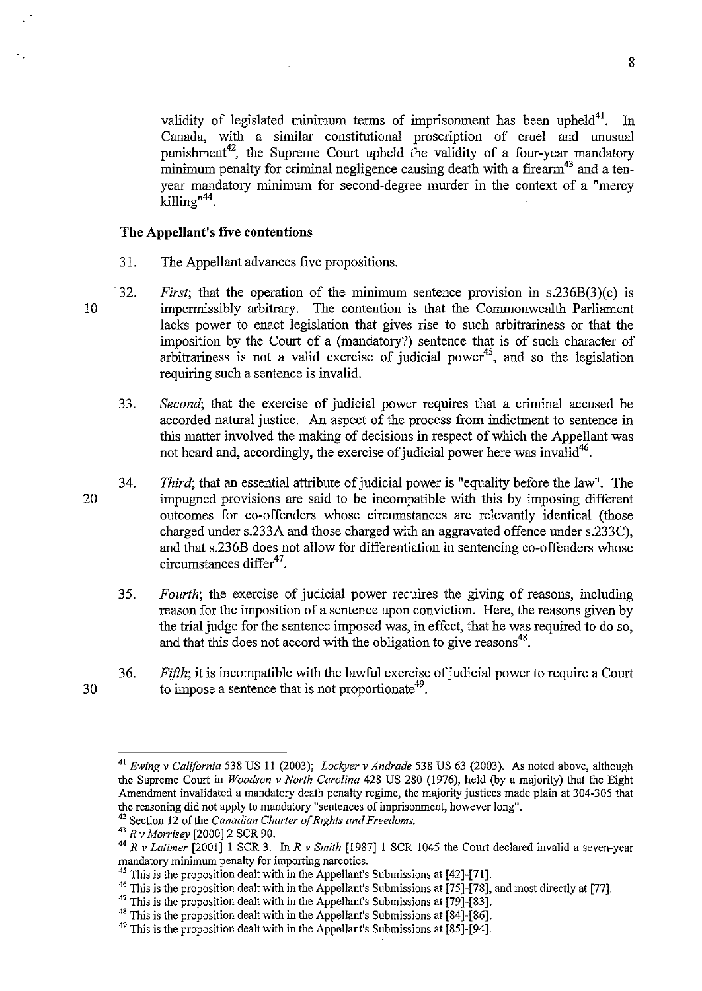8

validity of legislated minimum terms of imprisonment has been upheld<sup>41</sup>. In Canada, with a similar constitutional proscription of cruel and unusual punishment<sup>42</sup>, the Supreme Court upheld the validity of a four-year mandatory minimum penalty for criminal negligence causing death with a firearm<sup>43</sup> and a tenyear mandatory minimum for second-degree murder in the context of a "mercy killing"<sup>44</sup>.

## **The Appellant's five contentions**

- 31. The Appellant advances five propositions.
- 10 32. *First*; that the operation of the minimum sentence provision in s.236B(3)(c) is impermissibly arbitrary. The contention is that the Commonwealth Parliament lacks power to enact legislation that gives rise to such arbitrariness or that the imposition by the Court of a (mandatory?) sentence that is of such character of arbitrariness is not a valid exercise of judicial power<sup>45</sup>, and so the legislation requiring such a sentence is invalid.
	- 33. *Second;* that the exercise of judicial power requires that a criminal accused be accorded natural justice. An aspect of the process from indictment to sentence in this matter involved the making of decisions in respect of which the Appellant was not heard and, accordingly, the exercise of judicial power here was invalid<sup>46</sup>.
	- 34. *Third;* that an essential attribute of judicial power is "equality before the law". The impugned provisions are said to be incompatible with this by imposing different outcomes for co-offenders whose circumstances are relevantly identical (those charged under s.233A and those charged with an aggravated offence under s.233C), and that s.236B does not allow for differentiation in sentencing co-offenders whose circumstances  $\text{differ}^{47}$ .
		- 35. *Fourth;* the exercise of judicial power requires the giving of reasons, including reason for the imposition of a sentence upon conviction. Here, the reasons given by the trial judge for the sentence imposed was, in effect, that he was required to do so, and that this does not accord with the obligation to give reasons<sup>48</sup>.
		- 36. *Fifth*; it is incompatible with the lawful exercise of judicial power to require a Court to impose a sentence that is not proportionate<sup>49</sup>.

<sup>30</sup> 

<sup>41</sup>*Ewing v California* 538 US 11 (2003); *Lockyer v Andrade* 538 US 63 (2003). As noted above, although the Supreme Court in *Woodson v North Carolina* 428 US 280 (1976), held (by a majority) that the Eight Amendment invalidated a mandatory death penalty regime, the majority justices made plain at 304-305 that the reasoning did not apply to mandatory "sentences of imprisonment, however long".

<sup>&</sup>lt;sup>42</sup> Section 12 of the *Canadian Charter of Rights and Freedoms*.<br><sup>43</sup>  $R v$  *Morrisey* [2000] 2 SCR 90.<br><sup>44</sup>  $R v$  *Latimer* [2001] 1 SCR 3. In  $R v$  *Smith* [1987] 1 SCR 1045 the Court declared invalid a seven-year mandato

<sup>&</sup>lt;sup>45</sup> This is the proposition dealt with in the Appellant's Submissions at [42]-[71].<br><sup>46</sup> This is the proposition dealt with in the Appellant's Submissions at [75]-[78], and most directly at [77].<br><sup>47</sup> This is the proposi

 $49$  This is the proposition dealt with in the Appellant's Submissions at [85]-[94].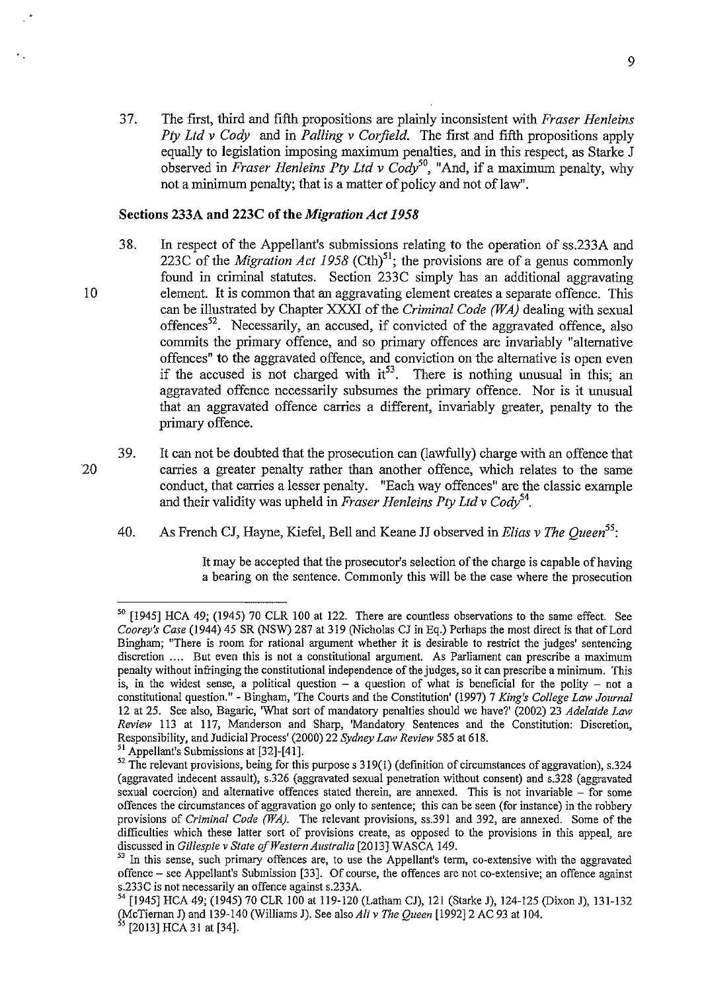37. The first, third and fifth propositions are plainly inconsistent with *Fraser Henleins Pty Ltd v Cody* and in *Palling v Corfield.* The first and fifth propositions apply equally to legislation imposing maximum penalties, and in this respect, as Starke J observed in *Fraser Henleins Pty Ltd v Cody*<sup>50</sup>, "And, if a maximum penalty, why not a minimum penalty; that is a matter of policy and not of law".

#### Sections 233A and 223C of the *Migration Act 1958*

- 38. In respect of the Appellant's submissions relating to the operation of ss.233A and 223C of the *Migration Act 1958* (Cth)<sup>51</sup>; the provisions are of a genus commonly found in criminal statutes. Section 233C simply has an additional aggravating element. It is common that an aggravating element creates a separate offence. This can be illustrated by Chapter XXXI of the *Criminal Code (WA)* dealing with sexual offences<sup>52</sup>. Necessarily, an accused, if convicted of the aggravated offence, also commits the primary offence, and so primary offences are invariably "alternative offences" to the aggravated offence, and conviction on the alternative is open even if the accused is not charged with  $it^{53}$ . There is nothing unusual in this; an aggravated offence necessarily subsumes the primary offence. Nor is it unusual that an aggravated offence carries a different, invariably greater, penalty to the primary offence.
- 39. It can not be doubted that the prosecution can (lawfully) charge with an offence that carries a greater penalty rather than another offence, which relates to the same conduct, that carries a lesser penalty. "Each way offences" are the classic example and their validity was upheld in *Fraser Henleins Pty Ltd v Cody*<sup>54</sup>.
	- 40. As French CJ, Hayne, Kiefel, Bell and Keane JJ observed in *Elias v The Queen<sup>55</sup> :*

It may be accepted that the prosecutor's selection of the charge is capable of having a bearing on the sentence. Commonly this will be the case where the prosecution

10

<sup>50 [1945]</sup> RCA 49; (1945) 70 CLR 100 at 122. There are countless observations to the same effect. See *Coorey's Case* {1944) 45 SR (NSW) 287 at 319 (Nicholas CJ in Eq.) Perhaps the most direct is that of Lord Bingham; "There is room for rational argument whether it is desirable to restrict the judges' sentencing discretion .... But even this is not a constitutional argument. As Parliament can prescribe a maximum penalty without infringing the constitutional independence ofthe judges, so it can prescribe a minimum. This is, in the widest sense, a political question  $-$  a question of what is beneficial for the polity  $-$  not a constitutional question."- Bingham, 'The Courts and the Constitution' {1997) 7 *King's College Law Journal*  12 at 25. See also, Bagaric, 'What sort of mandatory penalties should we have?' (2002) 23 *Adelaide Law Review* 113 at 117, Manderson and Sharp, 'Mandatory Sentences and the Constitution: Discretion, Responsibility, and Judicial Process' (2000) 22 *Sydney Law Review* 585 at 618. 51 Appellant's Submissions at [32]-[41].

<sup>&</sup>lt;sup>52</sup> The relevant provisions, being for this purpose s 319(1) (definition of circumstances of aggravation), s.324 (aggravated indecent assault), s.326 (aggravated sexual penetration without consent) and s.328 (aggravated sexual coercion) and alternative offences stated therein, are annexed. This is not invariable – for some offences the circumstances of aggravation go only to sentence; this can be seen (for instance) in the robbery provisions of *Criminal Code (WA).* The relevant provisions, ss.39l and 392, are annexed. Some of the difficulties which these latter sort of provisions create, as opposed to the provisions in this appeal, are discussed in Gillespie v State of Western Australia [2013] WASCA 149.

In this sense, such primary offences are, to use the Appellant's term, co-extensive with the aggravated offence- see Appellant's Submission [33]. Of course, the offences are not co-extensive; an offence against s.233C is not necessarily an offence against s.233A.

<sup>54 [1945]</sup> RCA 49; {1945) 70 CLR 100 at 119-120 (Latham CJ), 121 (Starke J), 124-125 (Dixon J), 131-132 (McTiernan J) and 139-140 (Williams J). See also *Ali v The Queen* [1992]2 AC 93 at 104. *<sup>55</sup>*[2013] RCA 31 at [34].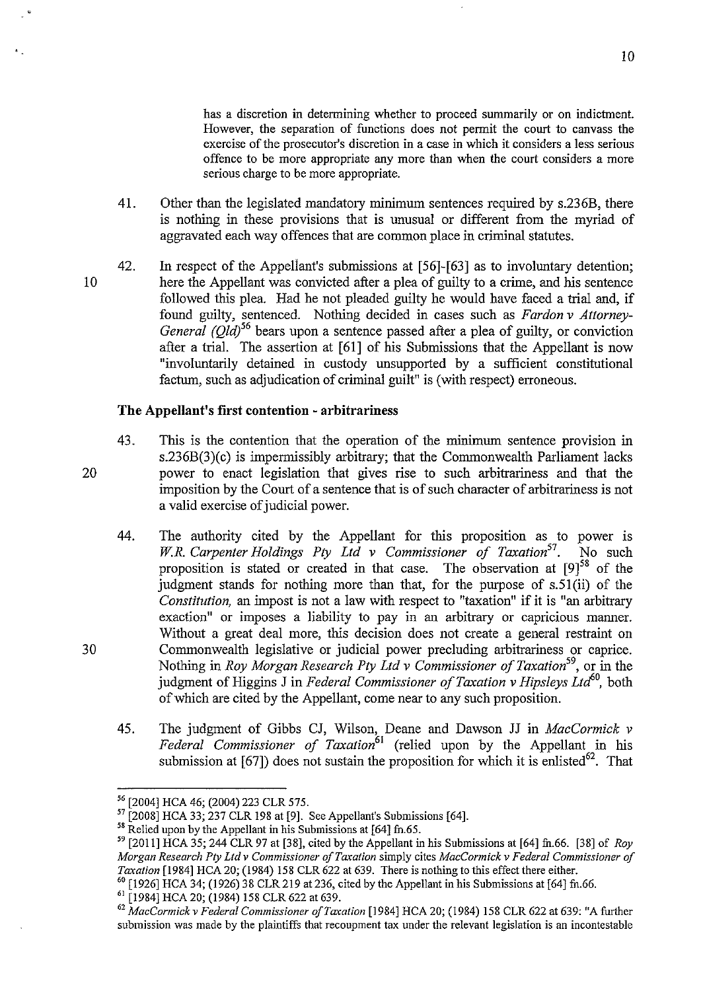has a discretion in determining whether to proceed summarily or on indictment. However, the separation of functions does not permit the court to canvass the exercise of the prosecutor's discretion in a case in which it considers a less serious offence to be more appropriate any more than when the court considers a more serious charge to be more appropriate.

- 41. Other than the legislated mandatory minimum sentences required by s.236B, there is nothing in these provisions that is unusual or different from the myriad of aggravated each way offences that are common place in criminal statutes.
- 42. In respect of the Appellant's submissions at [56]-[63] as to involuntary detention; here the Appellant was convicted after a plea of guilty to a crime, and his sentence followed this plea. Had he not pleaded guilty he would have faced a trial and, if found guilty, sentenced. Nothing decided in cases such as *Fardon v Attorney-General (Old)*<sup>56</sup> bears upon a sentence passed after a plea of guilty, or conviction after a trial. The assertion at [61] of his Submissions that the Appellant is now "involuntarily detained in custody unsupported by a sufficient constitutional factum, such as adjudication of criminal guilt" is (with respect) erroneous.

## **The Appellant's first contention -arbitrariness**

- 43. This is the contention that the operation of the minimum sentence provision in s.236B(3)(c) is impermissibly arbitrary; that the Commonwealth Parliament lacks power to enact legislation that gives rise to such arbitrariness and that the imposition by the Court of a sentence that is of such character of arbitrariness is not a valid exercise of judicial power.
- 44. The authority cited by the Appellant for this proposition as to power is *W.R. Carpenter Holdings Pty Ltd v Commissioner of Taxation*<sup>57</sup>. No such proposition is stated or created in that case. The observation at  $[9]^{58}$  of the judgment stands for nothing more than that, for the purpose of s.5l(ii) of the *Constitution,* an impost is not a law with respect to "taxation" if it is "an arbitrary exaction" or imposes a liability to pay in an arbitrary or capricious manner. Without a great deal more, this decision does not create a general restraint on Commonwealth legislative or judicial power precluding arbitrariness or caprice. Nothing in *Roy Morgan Research Pty Ltd v Commissioner of Taxation*<sup>59</sup>, or in the judgment of Higgins J in *Federal Commissioner of Taxation v Hipsleys Ltd*<sup>60</sup>, both of which are cited by the Appellant, come near to any such proposition.
- 45. The judgment of Gibbs CJ, Wilson, Deane and Dawson JJ in *MacCormick v*  Federal Commissioner of Taxation<sup>61</sup> (relied upon by the Appellant in his submission at  $[67]$ ) does not sustain the proposition for which it is enlisted<sup>62</sup>. That

10

20

<sup>&</sup>lt;sup>56</sup> [2004] HCA 46; (2004) 223 CLR 575.<br><sup>57</sup> [2008] HCA 33; 237 CLR 198 at [9]. See Appellant's Submissions [64].

 $58$  Relied upon by the Appellant in his Submissions at [64] fn.65.

<sup>&</sup>lt;sup>59</sup> [2011] HCA 35; 244 CLR 97 at [38], cited by the Appellant in his Submissions at [64] fn.66. [38] of *Roy Morgan Research Pty Ltd v Commissioner of Taxation* simply cites *MacCormick v Federal Commissioner of Taxation* [1984] HCA 20; (1984) 158 CLR 622 at 639. There is nothing to this effect there either.

 $60$  [1926] HCA 34; (1926) 38 CLR 219 at 236, cited by the Appellant in his Submissions at [64] fn.66.

<sup>61 [1984]</sup> HCA 20; (1984) 158 CLR 622 at 639.

<sup>62</sup>*MacCormickv Federal Commissioner ofTaxation* [1984] HCA 20; (1984) 158 CLR 622 at 639: "A further submission was made by the plaintiffs that recoupment tax under the relevant legislation is an incontestable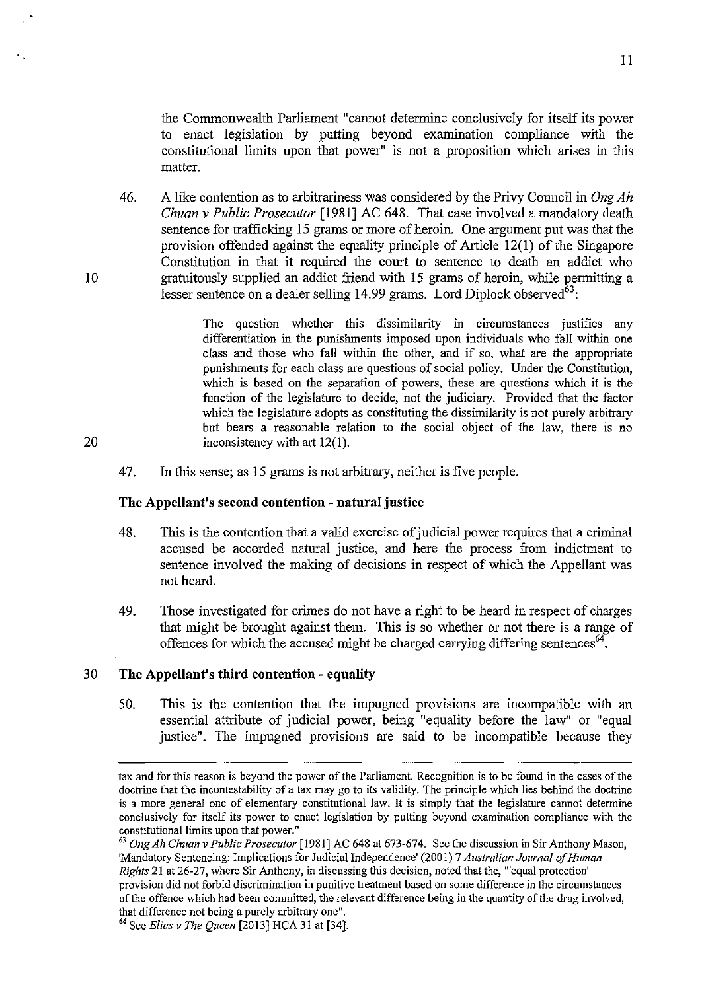the Commonwealth Parliament "cannot determine conclusively for itself its power to enact legislation by putting beyond examination compliance with the constitutional limits upon that power" is not a proposition which arises in this matter.

46. A like contention as to arbitrariness was considered by the Privy Council in *Ong Ah Chuan v Public Prosecutor* [1981] AC 648. That case involved a mandatory death sentence for trafficking 15 grams or more of heroin. One argument put was that the provision offended against the equality principle of Article 12(1) of the Singapore Constitution in that it required the court to sentence to death an addict who gratuitously supplied an addict friend with 15 grams of heroin, while permitting a lesser sentence on a dealer selling 14.99 grams. Lord Diplock observed $^{63}$ :

> The question whether this dissimilarity in circumstances justifies any differentiation in the punishments imposed upon individuals who fall within one class and those who fall within the other, and if so, what are the appropriate punishments for each class are questions of social policy. Under the Constitution, which is based on the separation of powers, these are questions which it is the function of the legislature to decide, not the judiciary. Provided that the factor which the legislature adopts as constituting the dissimilarity is not purely arbitrary but bears a reasonable relation to the social object of the law, there is no inconsistency with art 12(1).

47. In this sense; as 15 grams is not arbitrary, neither is five people.

## **The Appellant's second contention - natural justice**

- 48. This is the contention that a valid exercise of judicial power requires that a criminal accused be accorded natural justice, and here the process from indictment to sentence involved the making of decisions in respect of which the Appellant was not heard.
- 49. Those investigated for crimes do not have a right to be heard in respect of charges that might be brought against them. This is so whether or not there is a range of offences for which the accused might be charged carrying differing sentences<sup>64</sup>.

## 30 **The Appellant's third contention- equality**

50. This is the contention that the impugned provisions are incompatible with an essential attribute of judicial power, being "equality before the law" or "equal justice". The impugned provisions are said to be incompatible because they

20

tax and for this reason is beyond the power of the Parliament. Recognition is to be found in the cases of the doctrine that the incontestability of a tax may go to its validity. The principle which lies behind the doctrine is a more general one of elementary constitutional law. It is simply that the legislature cannot determine conclusively for itself its power to enact legislation by putting beyond examination compliance with the constitutional limits upon that power."

<sup>63</sup>*Ong Ah Chuan v Public Prosecutor* [1981] AC 648 at 673-674. See the discussion in Sir Anthony Mason, 'Mandatory Sentencing: Implications for Judicial Independence' (2001) 7 *Australian Journal of Human Rights* 21 at 26-27, where Sir Anthony, in discussing this decision, noted that the, "'equal protection' provision did not forbid discrimination in punitive treatment based on some difference in the circumstances of the offence which had been committed, the relevant difference being in the quantity of the drug involved, that difference not being a purely arbitrary one".

<sup>64</sup> See *Elias v The Queen* [20 13] HCA 31 at [34].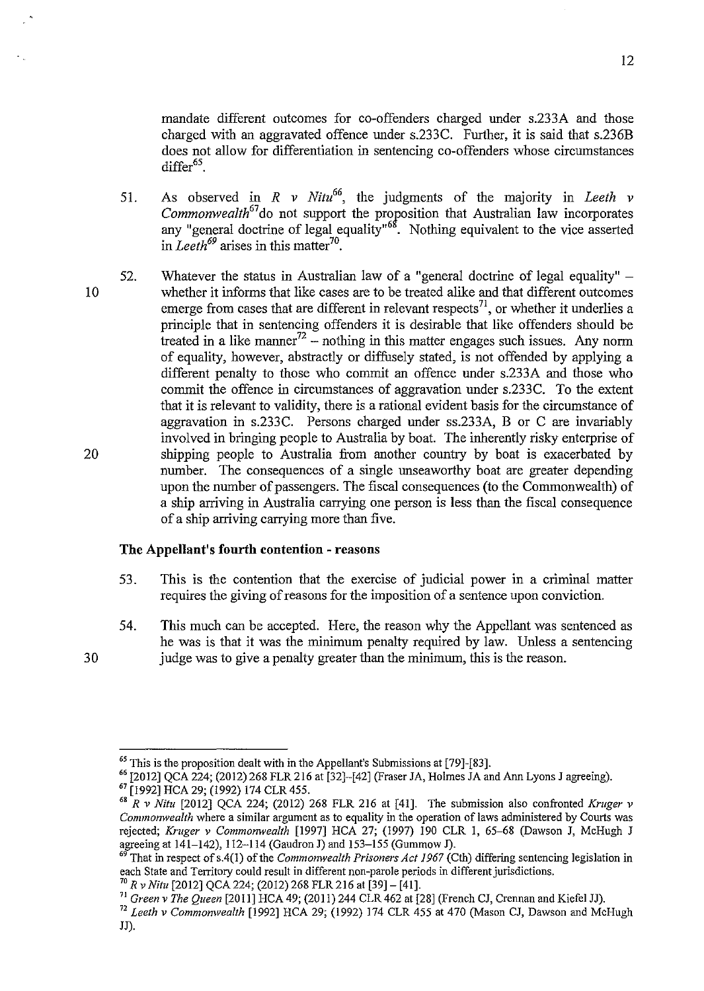mandate different outcomes for co-offenders charged under s.233A and those charged with an aggravated offence under s.233C. Further, it is said that s.236B does not allow for differentiation in sentencing co-offenders whose circumstances  $d$ iffer $65$ .

- 51. As observed in *R v Nitu66,* the judgments of the majority in *Leeth v Commonwealth<sup>67</sup>*do not support the proposition that Australian law incorporates any "general doctrine of legal equality"<sup>68</sup>. Nothing equivalent to the vice asserted in *Leeth<sup>69</sup>* arises in this matter<sup>70</sup>.
- 20 52. Whatever the status in Australian law of a "general doctrine of legal equality"  $$ whether it informs that like cases are to be treated alike and that different outcomes emerge from cases that are different in relevant respects<sup>71</sup>, or whether it underlies a principle that in sentencing offenders it is desirable that like offenders should be treated in a like manner<sup>72</sup> – nothing in this matter engages such issues. Any norm of equality, however, abstractly or diffusely stated, is not offended by applying a different penalty to those who commit an offence under s.233A and those who commit the offence in circumstances of aggravation under s.233C. To the extent that it is relevant to validity, there is a rational evident basis for the circumstance of aggravation in s.233C. Persons charged under ss.233A, B or C are invariably involved in bringing people to Australia by boat. The inherently risky enterprise of shipping people to Australia from another country by boat is exacerbated by number. The consequences of a single unseaworthy boat are greater depending upon the number of passengers. The fiscal consequences (to the Commonwealth) of a ship arriving in Australia carrying one person is less than the fiscal consequence of a ship arriving carrying more than five.

# **The Appellant's fourth contention -reasons**

- 53. This is the contention that the exercise of judicial power in a criminal matter requires the giving of reasons for the imposition of a sentence upon conviction.
- 54. This much can be accepted. Here, the reason why the Appellant was sentenced as he was is that it was the minimum penalty required by law. Unless a sentencing judge was to give a penalty greater than the minimum, this is the reason.

12

<sup>30</sup> 

 $<sup>65</sup>$  This is the proposition dealt with in the Appellant's Submissions at [79]-[83].</sup>

 $^{66}$  [2012] QCA 224; (2012) 268 FLR 216 at [32]-[42] (Fraser JA, Holmes JA and Ann Lyons J agreeing).<br><sup>67</sup> [1992] HCA 29; (1992) 174 CLR 455.

 $68$ <sup>EV</sup> Nitu <sup>[2012]</sup> QCA 224; (2012) 268 FLR 216 at [41]. The submission also confronted *Kruger v Commomvea/th* where a similar argument as to equality in the operation of laws administered by Courts was rejected; *Kruger v Commonwealth* [1997] HCA 27; (1997) 190 CLR 1, 65–68 (Dawson J, McHugh J<br>agreeing at 141–142), 112–114 (Gaudron J) and 153–155 (Gummow J).

That in respect of s.4(1) of the *Commonwealth Prisoners Act 1967* (Cth) differing sentencing legislation in each State and Territory could result in different non-parole periods in different jurisdictions. 70 *R v Nitu* [2012] QCA 224; (2012) 268 FLR 216 at [39]- [41].

<sup>71</sup>*Green v The Queen* [2011] HCA 49; (2011) 244 CLR 462 at [28] (French CJ, Crennan and Kiefel JJ).

<sup>72</sup>*Leeth v Commonwealth* [1992] HCA 29; (1992) 174 CLR 455 at 470 (Mason CJ, Dawson and McHugh JJ).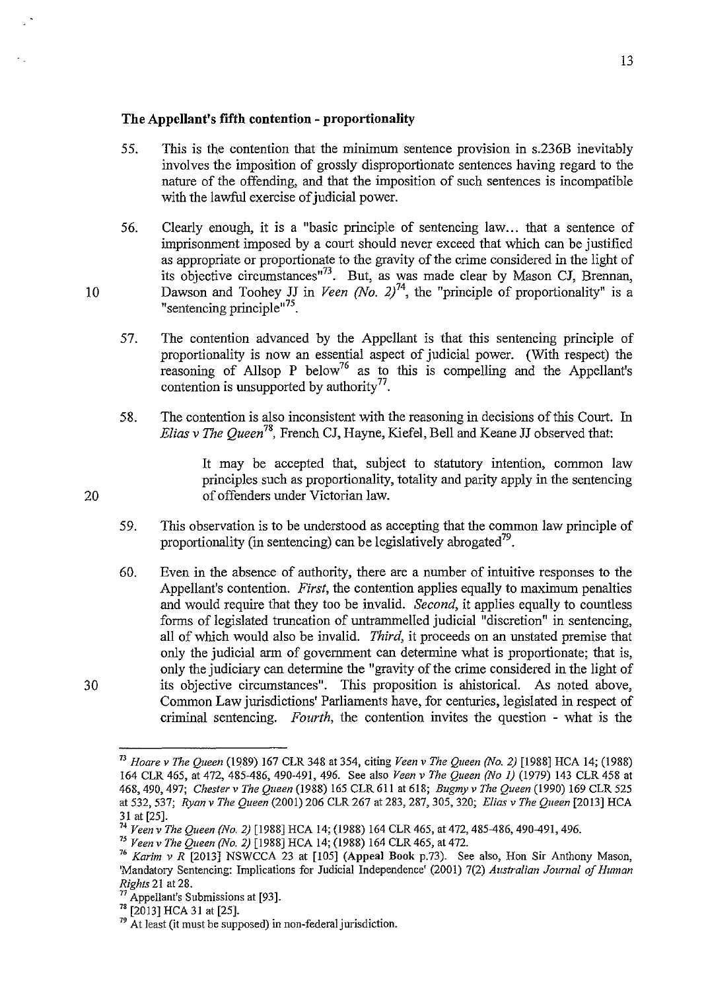# **The Appellant's fifth contention -proportionality**

- 55. This is the contention that the minimum sentence provision in s.236B inevitably involves the imposition of grossly disproportionate sentences having regard to the nature of the offending, and that the imposition of such sentences is incompatible with the lawful exercise of judicial power.
- 56. Clearly enough, it is a "basic principle of sentencing law... that a sentence of imprisonment imposed by a court should never exceed that which can be justified as appropriate or proportionate to the gravity of the crime considered in the light of its objective circumstances" $73$ . But, as was made clear by Mason CJ, Brennan, Dawson and Toohey JJ in *Veen (No. 2)*<sup>74</sup>, the "principle of proportionality" is a "sentencing principle"<sup> $75$ </sup>.
- 57. The contention advanced by the Appellant is that this sentencing principle of proportionality is now an essential aspect of judicial power. (With respect) the reasoning of Allsop P below<sup>76</sup> as to this is compelling and the Appellant's contention is unsupported by authority  $^{77}$ .
- 58. The contention is also inconsistent with the reasoning in decisions of this Court. In *Elias v The Queen78,* French CJ, Hayne, Kiefel, Bell and Keane JJ observed that:

It may be accepted that, subject to statutory intention, common law principles such as proportionality, totality and parity apply in the sentencing of offenders under Victorian law.

- 59. This observation is to be understood as accepting that the common law principle of proportionality (in sentencing) can be legislatively abrogated<sup>79</sup>.
- 60. Even in the absence of authority, there are a number of intuitive responses to the Appellant's contention. *First,* the contention applies equally to maximum penalties and would require that they too be invalid. *Second,* it applies equally to countless forms of legislated truncation of untrammelled judicial "discretion" in sentencing, all of which would also be invalid. *Third,* it proceeds on an unstated premise that only the judicial arm of government can determine what is proportionate; that is, only the judiciary can detennine the "gravity of the crime considered in the light of its objective circumstances". This proposition is ahistorical. As noted above, Common Law jurisdictions' Parliaments have, for centuries, legislated in respect of criminal sentencing. *Fourth,* the contention invites the question - what is the

10

20

<sup>73</sup>*Hoare v The Queen* (1989) 167 CLR 348 at 354, citing *Veen v The Queen (No.2)* [1988] HCA 14; (1988) 164 CLR 465, at 472, 485-486, 490-491, 496. See also *Veen v The Queen (No I)* (1979) 143 CLR 458 at 468,490, 497; *Chester v The Queen* (1988) 165 CLR 611 at 618; *Bugmyv The Queen* (1990) 169 CLR 525 at 532, 537; *Ryanv The Queen* (2001) 206 CLR 267 at 283, 287, 305, 320; *Elias v The Queen* [20!3] HCA 31 at [25]. 74 *Veen v The Queen (No. 2)* [1988] HCA 14; (1988) 164 CLR 465, at 472, 485-486, 490-491, 496.

<sup>&</sup>lt;sup>76</sup> Karim v R <sup>[2013]</sup> NSWCCA 23 at [105] (Appeal Book p.73). See also, Hon Sir Anthony Mason, 'Mandatory Sentencing: Implications for Judicial Independence' (2001) 7(2) *Australian Journal of Human Rights* 21 at 28.<br>
<sup>77</sup> Appellant's Submissions at [93].<br>
<sup>78</sup> [2013] HCA 31 at [25].<br>
<sup>79</sup> At least (it must be supposed) in non-federal jurisdiction.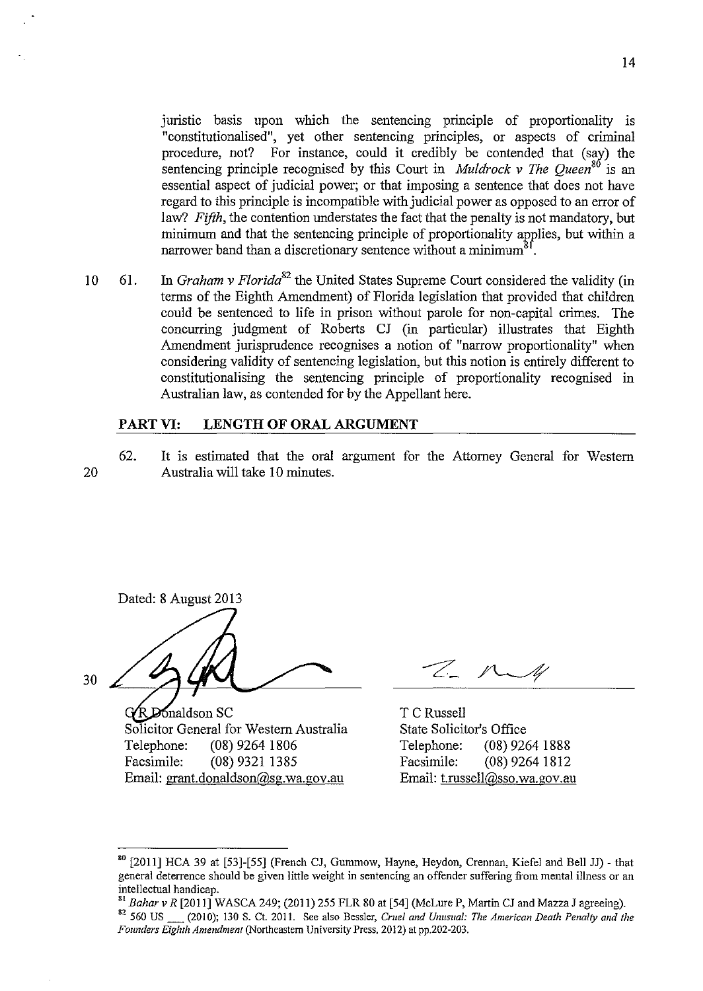juristic basis upon which the sentencing principle of proportionality is "constitutionalised", yet other sentencing principles, or aspects of criminal procedure, not? For instance, could it credibly be contended that (say) the sentencing principle recognised by this Court in *Muldrock v The Queen*<sup>80</sup> is an essential aspect of judicial power; or that imposing a sentence that does not have regard to this principle is incompatible with judicial power as opposed to an error of law? *Fifth*, the contention understates the fact that the penalty is not mandatory, but minimum and that the sentencing principle of proportionality applies, but within a narrower band than a discretionary sentence without a minimum<sup>?</sup>

10 61. In *Graham v Florida<sup>82</sup>*the United States Supreme Court considered the validity (in terms of the Eighth Amendment) of Florida legislation that provided that children could be sentenced to life in prison without parole for non-capital crimes. The concurring judgment of Roberts CJ (in particular) illustrates that Eighth Amendment jurisprudence recognises a notion of "narrow proportionality" when considering validity of sentencing legislation, but this notion is entirely different to constitutionalising the sentencing principle of proportionality recognised in Australian law, as contended for by the Appellant here.

## **PART VI: LENGTH OF ORAL ARGUMENT**

62. It is estimated that the oral argument for the Attorney General for Western Australia will take 10 minutes.

30 Dated: 8 August 2013

20

GR Donaldson SC Solicitor General for Western Australia State Solicitor's Office Telephone: (08) 9264 1806 Telephone: (08) 9264 1888 Facsimile: (08) 9321 1385 Facsimile: (08) 9264 1812 Email: grant.donaldson@sg.wa.gov.au Email: t.russell@sso.wa.gov.au

T C Russell

<sup>80 [2011]</sup> HCA 39 at [53]-[55] (French CJ, Gummow, Hayne, Heydon, Crennan, Kiefel and Bell JJ)- that general deterrence should be given little weight in sentencing an offender suffering from mental illness or an intellectual handicap.

<sup>&</sup>lt;sup>81</sup> Bahar v R [2011] WASCA 249; (2011) 255 FLR 80 at [54] (McLure P, Martin CJ and Mazza J agreeing). <sup>82</sup> 560 US \_\_\_ (2010); 130 S. Ct. 2011. See also Bessler, *Cruel and Unusual: The American Death Penalty and the* 

*Founders Eighth Amendment* (Northeastern University Press, 2012) at pp.202-203.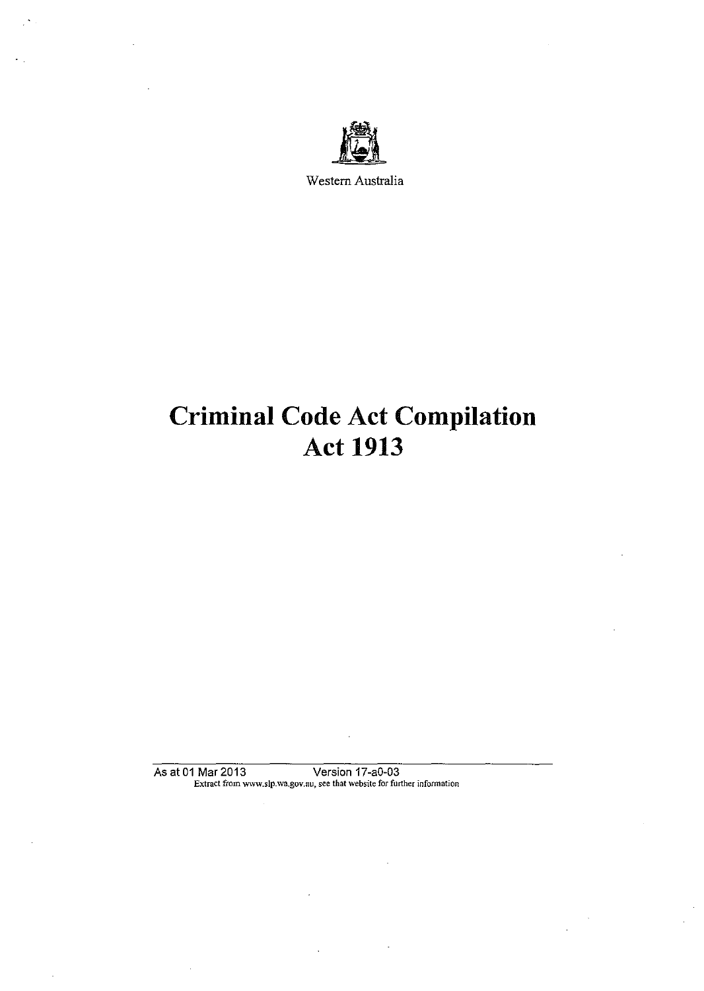

Western Australia

# Criminal Code Act Compilation Act 1913

As at 01 Mar 2013 Version 17-a0-03 Extract from www.slp.wa.gov.au, see that website for further infonnation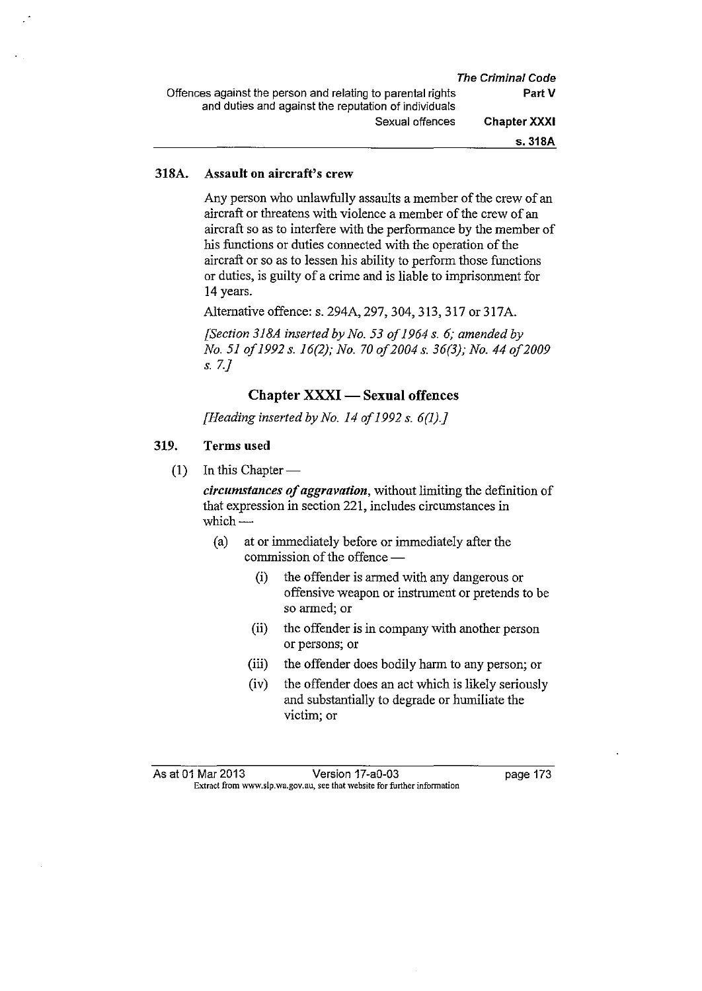## **318A. Assault on aircraft's crew**

Any person who unlawfully assaults a member of the crew of an aircraft or threatens with violence a member of the crew of an aircraft so as to interfere with the performance by the member of his functions or duties connected with the operation of the aircraft or so as to lessen his ability to perform those functions or duties, is guilty of a crime and is liable to imprisonment for 14 years.

Alternative offence: s. 294A, 297,304,313,317 or 317A.

*[Section 318A inserted by No. 53 of 1964 s. 6; amended by No. 51 of 1992 s. 16(2); No. 70 of2004 s. 36(3); No. 44 of2009 s. 7.]* 

## **Chapter XXXI- Sexual offences**

*[Heading inserted by No. 14 of 1992 s. 6(1).]* 

## **319. Terms used**

 $(1)$  In this Chapter —

*circumstances of aggravation*, without limiting the definition of that expression in section 221, includes circumstances in which-

- ( a) at or immediately before or immediately after the commission of the offence —
	- (i) the offender is armed with any dangerous or offensive weapon or instrument or pretends to be so armed; or
	- **(ii)** the offender is in company with another person or persons; or
	- (iii) the offender does bodily harm to any person; or
	- (iv) the offender does an act which is likely seriously and substantially to degrade or humiliate the victim; or

As at 01 Mar 2013 Version 17-a0-03 page 173 **Extract from www.slp.wa.gov.au, see that website for further infonnation**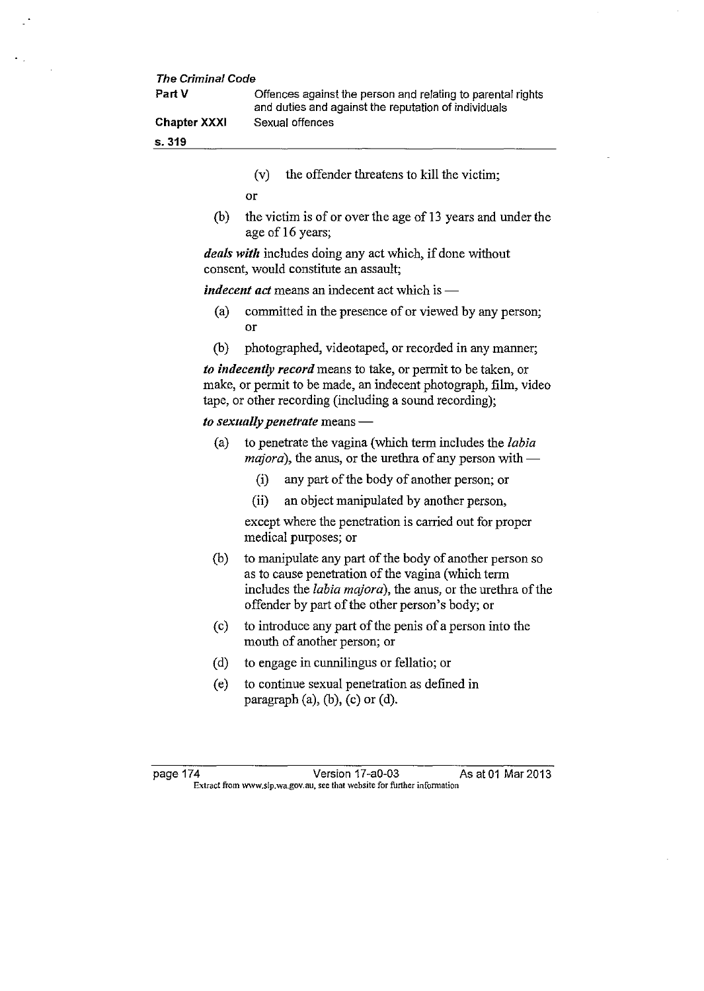| <b>The Criminal Code</b> |                                                                                                                     |
|--------------------------|---------------------------------------------------------------------------------------------------------------------|
| Part V                   | Offences against the person and relating to parental rights<br>and duties and against the reputation of individuals |
| <b>Chapter XXXI</b>      | Sexual offences                                                                                                     |
| s. 319                   |                                                                                                                     |

(v) the offender threatens to kill the victim;

or

(b) the victim is of or over the age of 13 years and under the age of 16 years;

*deals witlt* includes doing any act which, if done without consent, would constitute an assault;

*indecent act* means an indecent act which is —

- (a) committed in the presence of or viewed by any person; or
- (b) photographed, videotaped, or recorded in any manner;

*to indecently record* means to take, or permit to be taken, or make, or permit to be made, an indecent photograph, film, video tape, or other recording (including a sound recording);

#### *to sexually penetrate* means —

- (a) to penetrate the vagina (which term includes the *labia*   $majora$ ), the anus, or the urethra of any person with $-$ 
	- (i) any part of the body of another person; or
	- (ii) an object manipulated by another person,

except where the penetration is carried out for proper medical purposes; or

- (b) to manipulate any part of the body of another person so as to cause penetration of the vagina (which term includes the *labia majora),* the anus, or the urethra of the offender by part of the other person's body; or
- (c) to introduce any part of the penis of a person into the mouth of another person; or
- (d) to engage in cunnilingus or fellatio; or
- (e) to continue sexual penetration as defined in paragraph  $(a)$ ,  $(b)$ ,  $(c)$  or  $(d)$ .

page 174 **Version 17-a0-03** As at 01 Mar 2013 **Extract from www.slp.wa.gov.au, see that website for further infonnation**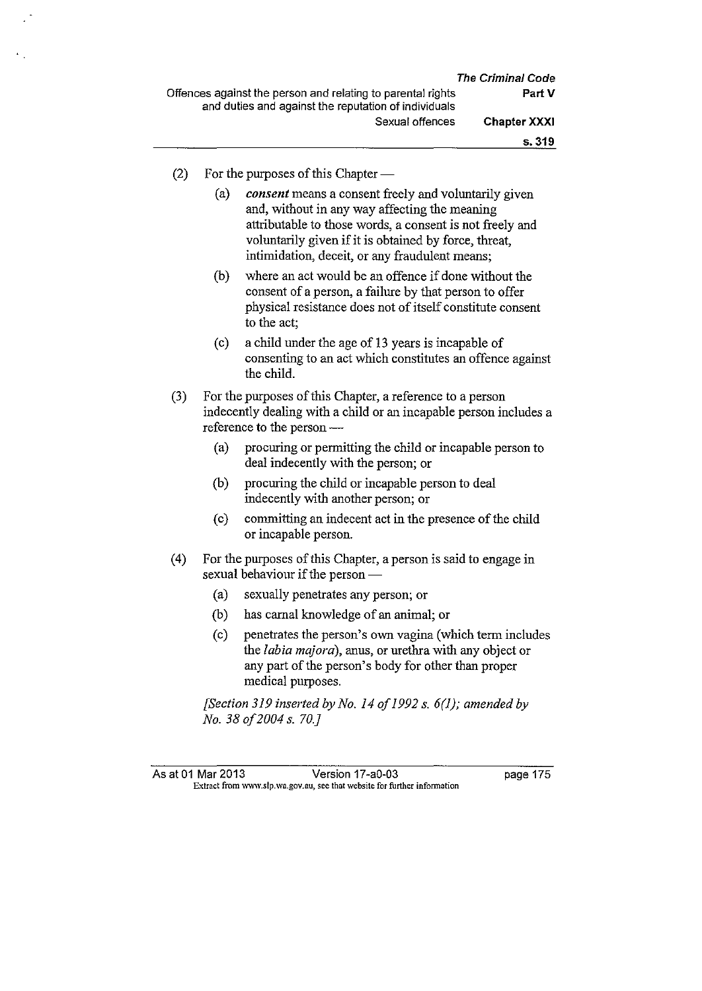$(2)$  For the purposes of this Chapter —

(a) *consent* means a consent freely and voluntarily given and, without in any way affecting the meaning attributable to those words, a consent is not freely and voluntarily given if it is obtained by force, threat, intimidation, deceit, or any fraudulent means;

- (b) where an act would be an offence if done without the consent of a person, a failure by that person to offer physical resistance does not of itself constitute consent to the act;
- (c) a child under the age of 13 years is incapable of consenting to an act which constitutes an offence against the child.
- (3) For the purposes of this Chapter, a reference to a person indecently dealing with a child or an incapable person includes a reference to the person-
	- (a) procuring or permitting the child or incapable person to deal indecently with the person; or
	- (b) procuring the child or incapable person to deal indecently with another person; or
	- (c) committing an indecent act in the presence of the child or incapable person.
- ( 4) For the purposes of this Chapter, a person is said to engage in sexual behaviour if the person -
	- (a) sexually penetrates any person; or
	- (b) has carnal knowledge of an animal; or
	- (c) penetrates the person's own vagina (which term includes the *labia majora),* anus, or urethra with any object or any part of the person's body for other than proper medical purposes.

*[Section 319 inserted by No. 14 of 1992 s. 6(1); amended by No. 38 of2004 s. 70.}*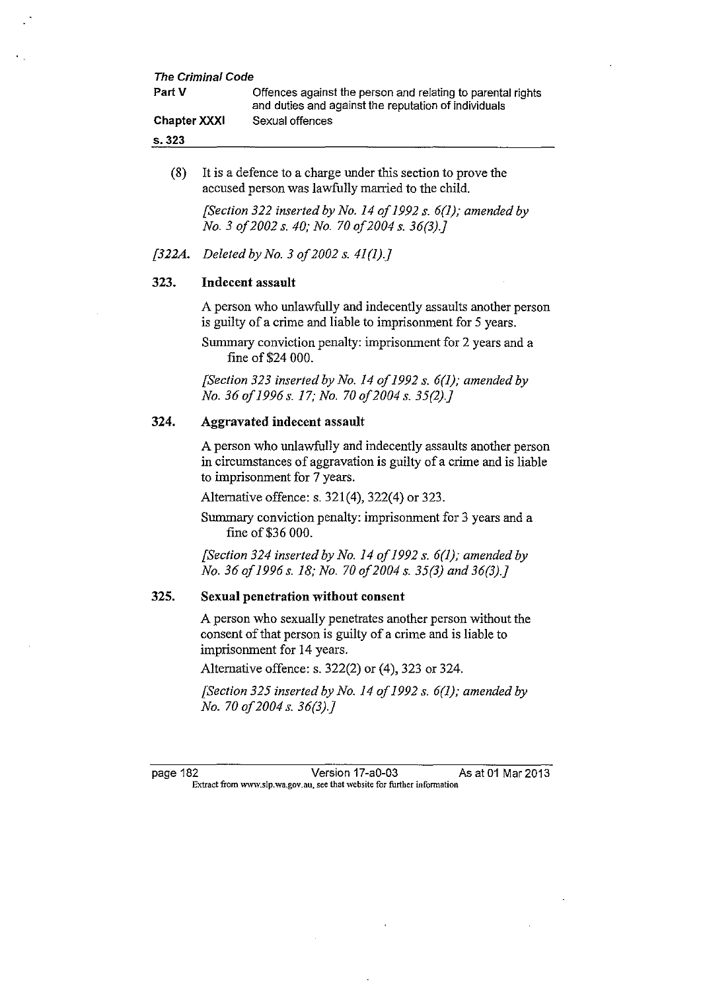| <b>The Criminal Code</b> |                                                                                                                     |
|--------------------------|---------------------------------------------------------------------------------------------------------------------|
| Part V                   | Offences against the person and relating to parental rights<br>and duties and against the reputation of individuals |
| <b>Chapter XXXI</b>      | Sexual offences                                                                                                     |
| s.323                    |                                                                                                                     |

(8) It is a defence to a charge under this section to prove the accused person was lawfully married to the child.

> *[Section 322 inserted by No. 14 of 1992 s. 6(1); amended by No. 3 of2002 s. 40; No. 70 of2004 s. 36(3}.]*

*[322A. Deleted by No. 3 of2002 s. 41 (1).}* 

## 323. Indecent assault

A person who unlawfully and indecently assaults another person is guilty of a crime and liable to imprisonment for 5 years.

Summary conviction penalty: imprisonment for 2 years and a fine of\$24 000.

*[Section 323 inserted by No. 14 of 1992 s. 6(1); amended by No. 36 of1996 s. 17; No. 70 of2004 s. 35(2}.]* 

#### 324. Aggravated indecent assault

A person who unlawfully and indecently assaults another person in circumstances of aggravation is guilty of a crime and is liable to imprisonment for 7 years.

Alternative offence: s. 321(4), 322(4) or 323.

Summary conviction penalty: imprisonment for 3 years and a fine of \$36 000.

*[Section 324 inserted by No. 14 of 1992 s. 6(1); amended by No. 36 of 1996 s. 18; No. 70 of2004 s. 35(3} and 36(3).]* 

### 325. Sexual penetration without consent

A person who sexually penetrates another person without the consent of that person is guilty of a crime and is liable to imprisonment for 14 years.

Alternative offence: s. 322(2) or (4), 323 or 324.

*[Section 325 inserted by No. 14 of 1992 s. 6(1); amended by No. 70 of2004 s. 36(3).}* 

page 182 Version 17-a0-03 As at 01 Mar 2013 **Extract from www.slp.wa.gov.au, see that website for further information**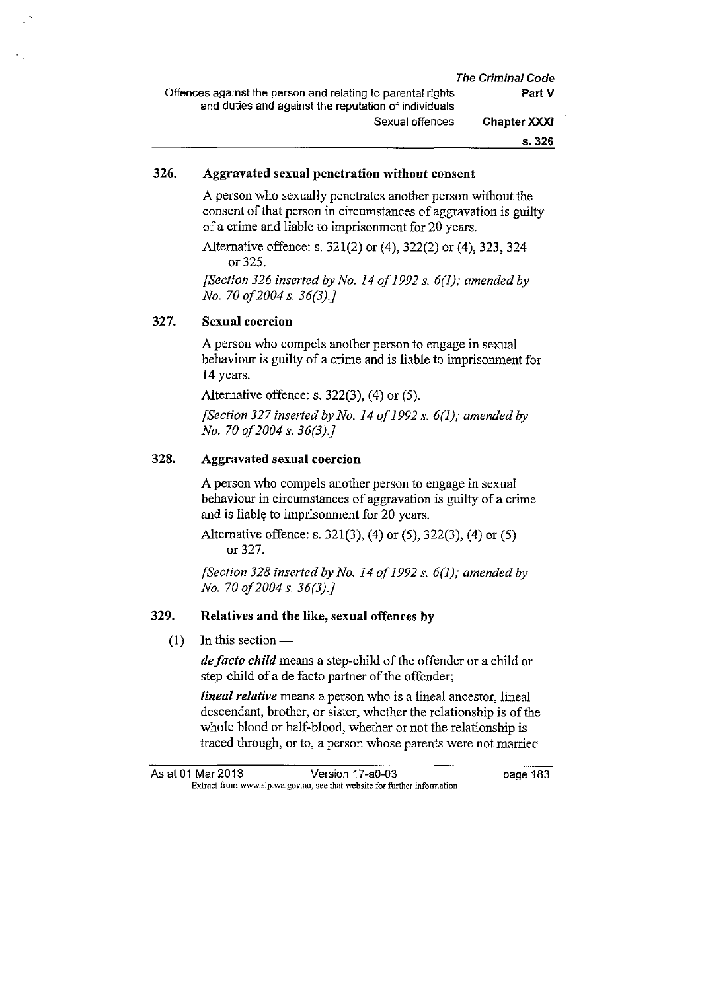|                                                             | <b>The Criminal Code</b> |
|-------------------------------------------------------------|--------------------------|
| Offences against the person and relating to parental rights | Part V                   |
| and duties and against the reputation of individuals        |                          |
| Sexual offences                                             | <b>Chapter XXXI</b>      |
|                                                             | s. 326                   |

## 326. Aggravated sexual penetration without consent

A person who sexually penetrates another person without the consent of that person in circumstances of aggravation is guilty of a crime and liable to imprisonment for 20 years.

Alternative offence: s. 321(2) or (4), 322(2) or (4), 323, 324 or 325.

*[Section 326 inserted by No. 14 of 1992* s. *6(1); amended by No. 70 of2004 s. 36(3).}* 

## 327. Sexual coercion

A person who compels another person to engage in sexual behaviour is guilty of a crime and is liable to imprisonment for 14 years.

Alternative offence: s. 322(3), (4) or (5).

*[Section 327 inserted by No. 14 of 1992 s. 6(1); amended by No. 70 of2004 s. 36(3).}* 

## 328. Aggravated sexual coercion

A person who compels another person to engage in sexual behaviour in circumstances of aggravation is guilty of a crime and is liable to imprisonment for 20 years.

Alternative offence: s. 321(3), (4) or (5), 322(3), (4) or (5) or 327.

*[Section 328 inserted by No. 14 of 1992 s. 6(1); amended by No. 70 of2004 s. 36(3).}* 

#### 329. Relatives and the like, sexual offences by

 $(1)$  In this section —

*de facto child* means a step-child of the offender or a child or step-child of a de facto partner of the offender;

*lineal relative* means a person who is a lineal ancestor, lineal descendant, brother, or sister, whether the relationship is of the whole blood or half-blood, whether or not the relationship is traced through, or to, a person whose parents were not married

As at 01 Mar 2013 **Version 17-a0-03 Dage 183 Extract from www.slp.wa.gov .au, see that website for further infonnation**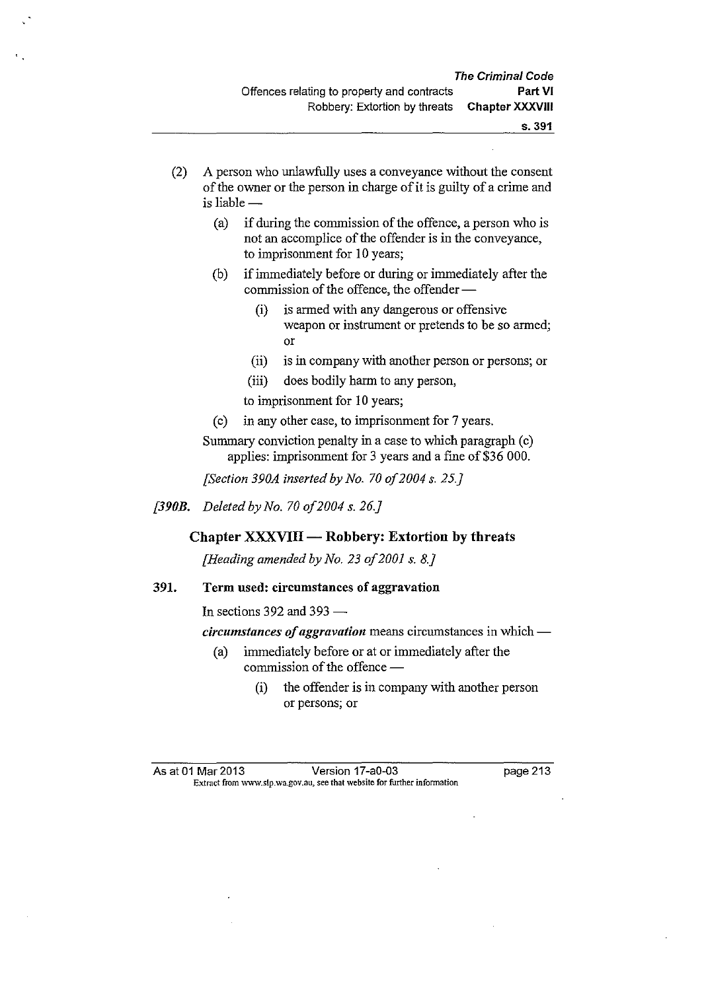- (2) A person who unlawfully uses a conveyance without the consent of the owner or the person in charge of it is guilty of a crime and  $is$  liable  $-$ 
	- (a) if during the commission of the offence, a person who is not an accomplice of the offender is in the conveyance, to imprisonment for 10 years;
	- (b) if immediately before or during or immediately after the commission of the offence, the offender-
		- (i) is armed with any dangerous or offensive weapon or instrument or pretends to be so armed; or
		- (ii) is in company with another person or persons; or
		- (iii) does bodily harm to any person,

to imprisonment for 10 years;

- (c) in any other case, to imprisonment for 7 years.
- Summary conviction penalty in a case to which paragraph (c) applies: imprisonment for 3 years and a fine of \$36 000.

*[Section 390A inserted by No. 70 of2004 s. 25.}* 

*[390B. Deleted by No. 70 of2004 s. 26.}* 

# $Chapter XXXYIII - Robbery: Extortion by threats$

*[Heading amended by No. 23 of2001 s. 8.}* 

## 391. Term used: circumstances of aggravation

In sections 392 and 393  $-$ 

*circumstances of aggravation* means circumstances in which-

- (a) immediately before or at or immediately after the commission of the offence -
	- (i) the offender is in company with another person or persons; or

As at 01 Mar 2013 Version 17 -a0-03 page 213 Extract from www.slp.wa.gov.au, see that website for further infonnation